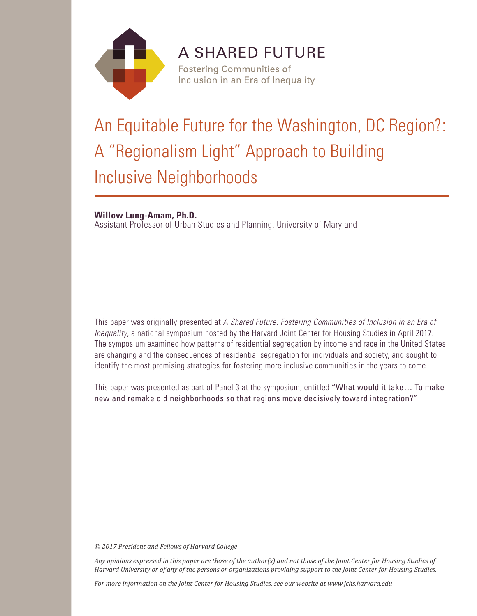

# **A SHARED FUTURE Fostering Communities of**

Inclusion in an Era of Inequality

# An Equitable Future for the Washington, DC Region?: A "Regionalism Light" Approach to Building Inclusive Neighborhoods

**Willow Lung-Amam, Ph.D.**

Assistant Professor of Urban Studies and Planning, University of Maryland

This paper was originally presented at *A Shared Future: Fostering Communities of Inclusion in an Era of Inequality*, a national symposium hosted by the Harvard Joint Center for Housing Studies in April 2017. The symposium examined how patterns of residential segregation by income and race in the United States are changing and the consequences of residential segregation for individuals and society, and sought to identify the most promising strategies for fostering more inclusive communities in the years to come.

This paper was presented as part of Panel 3 at the symposium, entitled "What would it take… To make new and remake old neighborhoods so that regions move decisively toward integration?"

*© 2017 President and Fellows of Harvard College*

*Any opinions expressed in this paper are those of the author(s) and not those of the Joint Center for Housing Studies of Harvard University or of any of the persons or organizations providing support to the Joint Center for Housing Studies.* 

*For more information on the Joint Center for Housing Studies, see our website at www.jchs.harvard.edu*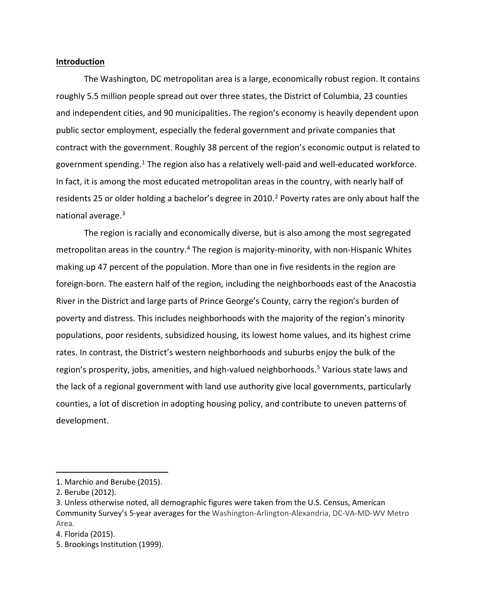#### **Introduction**

The Washington, DC metropolitan area is a large, economically robust region. It contains roughly 5.5 million people spread out over three states, the District of Columbia, 23 counties and independent cities, and 90 municipalities. The region's economy is heavily dependent upon public sector employment, especially the federal government and private companies that contract with the government. Roughly 38 percent of the region's economic output is related to government spending.<sup>[1](#page-2-0)</sup> The region also has a relatively well-paid and well-educated workforce. In fact, it is among the most educated metropolitan areas in the country, with nearly half of residents [2](#page-2-1)5 or older holding a bachelor's degree in 2010.<sup>2</sup> Poverty rates are only about half the national average.<sup>3</sup>

The region is racially and economically diverse, but is also among the most segregated metropolitan areas in the country.<sup>[4](#page-2-3)</sup> The region is majority-minority, with non-Hispanic Whites making up 47 percent of the population. More than one in five residents in the region are foreign-born. The eastern half of the region, including the neighborhoods east of the Anacostia River in the District and large parts of Prince George's County, carry the region's burden of poverty and distress. This includes neighborhoods with the majority of the region's minority populations, poor residents, subsidized housing, its lowest home values, and its highest crime rates. In contrast, the District's western neighborhoods and suburbs enjoy the bulk of the region's prosperity, jobs, amenities, and high-valued neighborhoods. [5](#page-2-4) Various state laws and the lack of a regional government with land use authority give local governments, particularly counties, a lot of discretion in adopting housing policy, and contribute to uneven patterns of development.

<span id="page-2-0"></span><sup>1.</sup> Marchio and Berube (2015).

<span id="page-2-1"></span><sup>2.</sup> Berube (2012).

<span id="page-2-2"></span><sup>3.</sup> Unless otherwise noted, all demographic figures were taken from the U.S. Census, American Community Survey's 5-year averages for the Washington-Arlington-Alexandria, DC-VA-MD-WV Metro Area.

<span id="page-2-3"></span><sup>4.</sup> Florida (2015).

<span id="page-2-4"></span><sup>5.</sup> Brookings Institution (1999).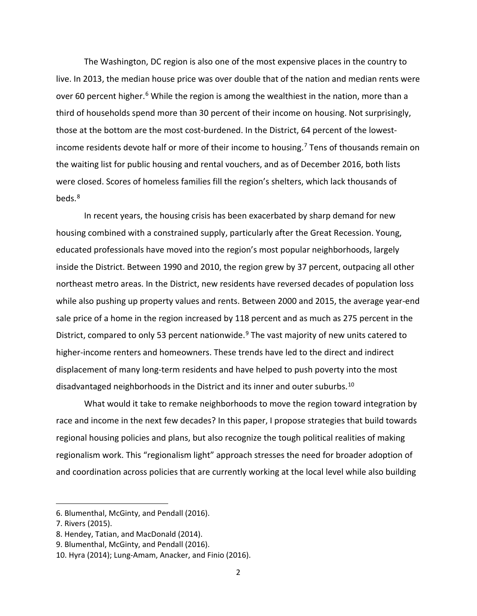The Washington, DC region is also one of the most expensive places in the country to live. In 2013, the median house price was over double that of the nation and median rents were over [6](#page-3-0)0 percent higher.<sup>6</sup> While the region is among the wealthiest in the nation, more than a third of households spend more than 30 percent of their income on housing. Not surprisingly, those at the bottom are the most cost-burdened. In the District, 64 percent of the lowest-income residents devote half or more of their income to housing.<sup>[7](#page-3-1)</sup> Tens of thousands remain on the waiting list for public housing and rental vouchers, and as of December 2016, both lists were closed. Scores of homeless families fill the region's shelters, which lack thousands of beds.[8](#page-3-2)

In recent years, the housing crisis has been exacerbated by sharp demand for new housing combined with a constrained supply, particularly after the Great Recession. Young, educated professionals have moved into the region's most popular neighborhoods, largely inside the District. Between 1990 and 2010, the region grew by 37 percent, outpacing all other northeast metro areas. In the District, new residents have reversed decades of population loss while also pushing up property values and rents. Between 2000 and 2015, the average year-end sale price of a home in the region increased by 118 percent and as much as 275 percent in the District, compared to only 53 percent nationwide.<sup>[9](#page-3-3)</sup> The vast majority of new units catered to higher-income renters and homeowners. These trends have led to the direct and indirect displacement of many long-term residents and have helped to push poverty into the most disadvantaged neighborhoods in the District and its inner and outer suburbs.<sup>[10](#page-3-4)</sup>

What would it take to remake neighborhoods to move the region toward integration by race and income in the next few decades? In this paper, I propose strategies that build towards regional housing policies and plans, but also recognize the tough political realities of making regionalism work. This "regionalism light" approach stresses the need for broader adoption of and coordination across policies that are currently working at the local level while also building

 $\overline{a}$ 

<span id="page-3-0"></span><sup>6.</sup> Blumenthal, McGinty, and Pendall (2016).

<span id="page-3-1"></span><sup>7.</sup> Rivers (2015).

<span id="page-3-2"></span><sup>8.</sup> Hendey, Tatian, and MacDonald (2014).

<span id="page-3-3"></span><sup>9.</sup> Blumenthal, McGinty, and Pendall (2016).

<span id="page-3-4"></span><sup>10.</sup> Hyra (2014); Lung-Amam, Anacker, and Finio (2016).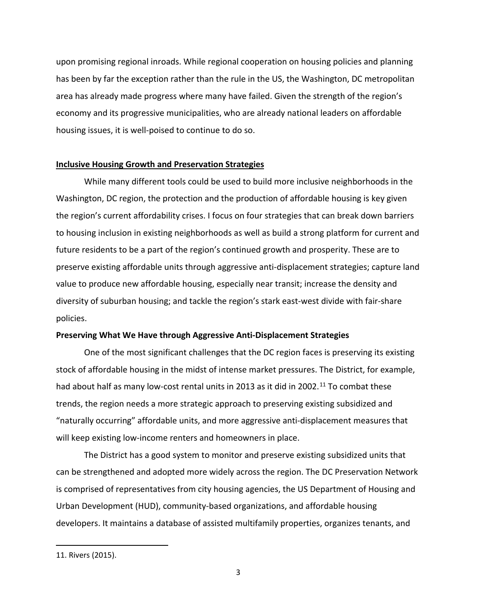upon promising regional inroads. While regional cooperation on housing policies and planning has been by far the exception rather than the rule in the US, the Washington, DC metropolitan area has already made progress where many have failed. Given the strength of the region's economy and its progressive municipalities, who are already national leaders on affordable housing issues, it is well-poised to continue to do so.

# **Inclusive Housing Growth and Preservation Strategies**

While many different tools could be used to build more inclusive neighborhoods in the Washington, DC region, the protection and the production of affordable housing is key given the region's current affordability crises. I focus on four strategies that can break down barriers to housing inclusion in existing neighborhoods as well as build a strong platform for current and future residents to be a part of the region's continued growth and prosperity. These are to preserve existing affordable units through aggressive anti-displacement strategies; capture land value to produce new affordable housing, especially near transit; increase the density and diversity of suburban housing; and tackle the region's stark east-west divide with fair-share policies.

# **Preserving What We Have through Aggressive Anti-Displacement Strategies**

One of the most significant challenges that the DC region faces is preserving its existing stock of affordable housing in the midst of intense market pressures. The District, for example, had about half as many low-cost rental units in 2013 as it did in 2002.<sup>[11](#page-4-0)</sup> To combat these trends, the region needs a more strategic approach to preserving existing subsidized and "naturally occurring" affordable units, and more aggressive anti-displacement measures that will keep existing low-income renters and homeowners in place.

The District has a good system to monitor and preserve existing subsidized units that can be strengthened and adopted more widely across the region. The DC Preservation Network is comprised of representatives from city housing agencies, the US Department of Housing and Urban Development (HUD), community-based organizations, and affordable housing developers. It maintains a database of assisted multifamily properties, organizes tenants, and

l

<span id="page-4-0"></span><sup>11.</sup> Rivers (2015).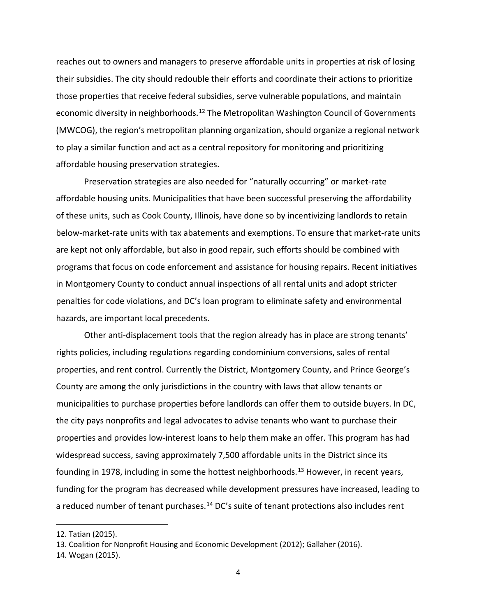reaches out to owners and managers to preserve affordable units in properties at risk of losing their subsidies. The city should redouble their efforts and coordinate their actions to prioritize those properties that receive federal subsidies, serve vulnerable populations, and maintain economic diversity in neighborhoods.<sup>[12](#page-5-0)</sup> The Metropolitan Washington Council of Governments (MWCOG), the region's metropolitan planning organization, should organize a regional network to play a similar function and act as a central repository for monitoring and prioritizing affordable housing preservation strategies.

Preservation strategies are also needed for "naturally occurring" or market-rate affordable housing units. Municipalities that have been successful preserving the affordability of these units, such as Cook County, Illinois, have done so by incentivizing landlords to retain below-market-rate units with tax abatements and exemptions. To ensure that market-rate units are kept not only affordable, but also in good repair, such efforts should be combined with programs that focus on code enforcement and assistance for housing repairs. Recent initiatives in Montgomery County to conduct annual inspections of all rental units and adopt stricter penalties for code violations, and DC's loan program to eliminate safety and environmental hazards, are important local precedents.

Other anti-displacement tools that the region already has in place are strong tenants' rights policies, including regulations regarding condominium conversions, sales of rental properties, and rent control. Currently the District, Montgomery County, and Prince George's County are among the only jurisdictions in the country with laws that allow tenants or municipalities to purchase properties before landlords can offer them to outside buyers. In DC, the city pays nonprofits and legal advocates to advise tenants who want to purchase their properties and provides low-interest loans to help them make an offer. This program has had widespread success, saving approximately 7,500 affordable units in the District since its founding in 1978, including in some the hottest neighborhoods.<sup>[13](#page-5-1)</sup> However, in recent years, funding for the program has decreased while development pressures have increased, leading to a reduced number of tenant purchases.<sup>[14](#page-5-2)</sup> DC's suite of tenant protections also includes rent

 $\overline{\phantom{a}}$ 

<span id="page-5-0"></span><sup>12.</sup> Tatian (2015).

<span id="page-5-1"></span><sup>13.</sup> Coalition for Nonprofit Housing and Economic Development (2012); Gallaher (2016).

<span id="page-5-2"></span><sup>14.</sup> Wogan (2015).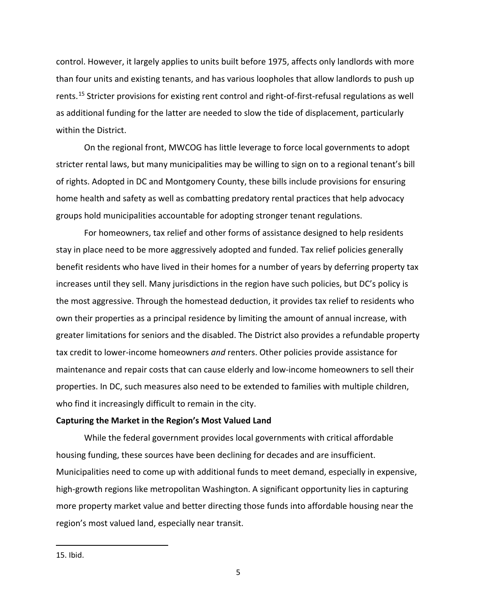control. However, it largely applies to units built before 1975, affects only landlords with more than four units and existing tenants, and has various loopholes that allow landlords to push up rents.[15](#page-6-0) Stricter provisions for existing rent control and right-of-first-refusal regulations as well as additional funding for the latter are needed to slow the tide of displacement, particularly within the District.

On the regional front, MWCOG has little leverage to force local governments to adopt stricter rental laws, but many municipalities may be willing to sign on to a regional tenant's bill of rights. Adopted in DC and Montgomery County, these bills include provisions for ensuring home health and safety as well as combatting predatory rental practices that help advocacy groups hold municipalities accountable for adopting stronger tenant regulations.

For homeowners, tax relief and other forms of assistance designed to help residents stay in place need to be more aggressively adopted and funded. Tax relief policies generally benefit residents who have lived in their homes for a number of years by deferring property tax increases until they sell. Many jurisdictions in the region have such policies, but DC's policy is the most aggressive. Through the homestead deduction, it provides tax relief to residents who own their properties as a principal residence by limiting the amount of annual increase, with greater limitations for seniors and the disabled. The District also provides a refundable property tax credit to lower-income homeowners *and* renters. Other policies provide assistance for maintenance and repair costs that can cause elderly and low-income homeowners to sell their properties. In DC, such measures also need to be extended to families with multiple children, who find it increasingly difficult to remain in the city.

#### **Capturing the Market in the Region's Most Valued Land**

While the federal government provides local governments with critical affordable housing funding, these sources have been declining for decades and are insufficient. Municipalities need to come up with additional funds to meet demand, especially in expensive, high-growth regions like metropolitan Washington. A significant opportunity lies in capturing more property market value and better directing those funds into affordable housing near the region's most valued land, especially near transit.

l

<span id="page-6-0"></span><sup>15.</sup> Ibid.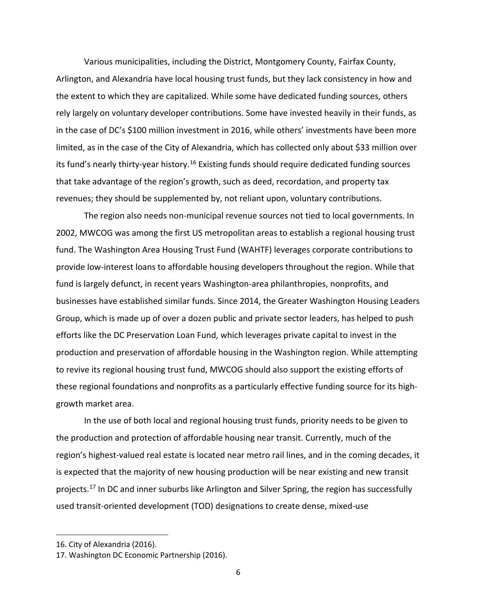Various municipalities, including the District, Montgomery County, Fairfax County, Arlington, and Alexandria have local housing trust funds, but they lack consistency in how and the extent to which they are capitalized. While some have dedicated funding sources, others rely largely on voluntary developer contributions. Some have invested heavily in their funds, as in the case of DC's \$100 million investment in 2016, while others' investments have been more limited, as in the case of the City of Alexandria, which has collected only about \$33 million over its fund's nearly thirty-year history.<sup>[16](#page-7-0)</sup> Existing funds should require dedicated funding sources that take advantage of the region's growth, such as deed, recordation, and property tax revenues; they should be supplemented by, not reliant upon, voluntary contributions.

The region also needs non-municipal revenue sources not tied to local governments. In 2002, MWCOG was among the first US metropolitan areas to establish a regional housing trust fund. The Washington Area Housing Trust Fund (WAHTF) leverages corporate contributions to provide low-interest loans to affordable housing developers throughout the region. While that fund is largely defunct, in recent years Washington-area philanthropies, nonprofits, and businesses have established similar funds. Since 2014, the Greater Washington Housing Leaders Group, which is made up of over a dozen public and private sector leaders, has helped to push efforts like the DC Preservation Loan Fund, which leverages private capital to invest in the production and preservation of affordable housing in the Washington region. While attempting to revive its regional housing trust fund, MWCOG should also support the existing efforts of these regional foundations and nonprofits as a particularly effective funding source for its highgrowth market area.

In the use of both local and regional housing trust funds, priority needs to be given to the production and protection of affordable housing near transit. Currently, much of the region's highest-valued real estate is located near metro rail lines, and in the coming decades, it is expected that the majority of new housing production will be near existing and new transit projects.<sup>[17](#page-7-1)</sup> In DC and inner suburbs like Arlington and Silver Spring, the region has successfully used transit-oriented development (TOD) designations to create dense, mixed-use

 $\overline{\phantom{a}}$ 

<span id="page-7-0"></span><sup>16.</sup> City of Alexandria (2016).

<span id="page-7-1"></span><sup>17.</sup> Washington DC Economic Partnership (2016).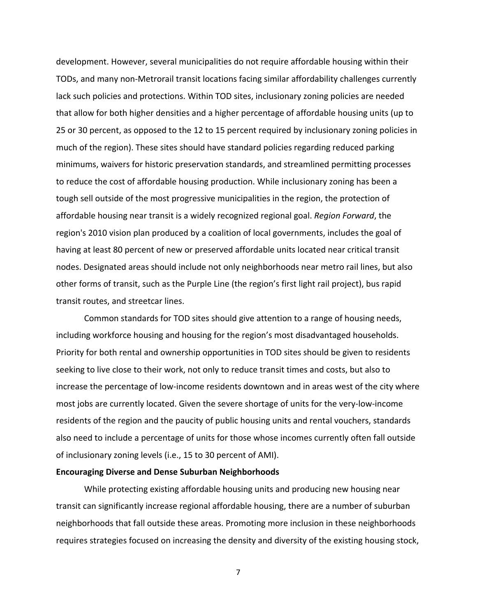development. However, several municipalities do not require affordable housing within their TODs, and many non-Metrorail transit locations facing similar affordability challenges currently lack such policies and protections. Within TOD sites, inclusionary zoning policies are needed that allow for both higher densities and a higher percentage of affordable housing units (up to 25 or 30 percent, as opposed to the 12 to 15 percent required by inclusionary zoning policies in much of the region). These sites should have standard policies regarding reduced parking minimums, waivers for historic preservation standards, and streamlined permitting processes to reduce the cost of affordable housing production. While inclusionary zoning has been a tough sell outside of the most progressive municipalities in the region, the protection of affordable housing near transit is a widely recognized regional goal. *Region Forward*, the region's 2010 vision plan produced by a coalition of local governments, includes the goal of having at least 80 percent of new or preserved affordable units located near critical transit nodes. Designated areas should include not only neighborhoods near metro rail lines, but also other forms of transit, such as the Purple Line (the region's first light rail project), bus rapid transit routes, and streetcar lines.

Common standards for TOD sites should give attention to a range of housing needs, including workforce housing and housing for the region's most disadvantaged households. Priority for both rental and ownership opportunities in TOD sites should be given to residents seeking to live close to their work, not only to reduce transit times and costs, but also to increase the percentage of low-income residents downtown and in areas west of the city where most jobs are currently located. Given the severe shortage of units for the very-low-income residents of the region and the paucity of public housing units and rental vouchers, standards also need to include a percentage of units for those whose incomes currently often fall outside of inclusionary zoning levels (i.e., 15 to 30 percent of AMI).

#### **Encouraging Diverse and Dense Suburban Neighborhoods**

While protecting existing affordable housing units and producing new housing near transit can significantly increase regional affordable housing, there are a number of suburban neighborhoods that fall outside these areas. Promoting more inclusion in these neighborhoods requires strategies focused on increasing the density and diversity of the existing housing stock,

7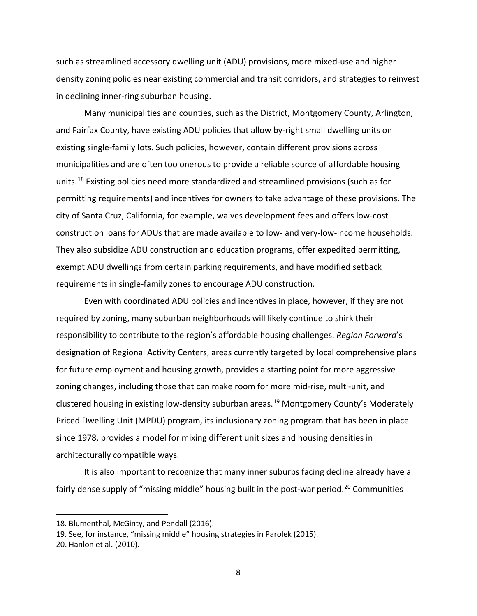such as streamlined accessory dwelling unit (ADU) provisions, more mixed-use and higher density zoning policies near existing commercial and transit corridors, and strategies to reinvest in declining inner-ring suburban housing.

Many municipalities and counties, such as the District, Montgomery County, Arlington, and Fairfax County, have existing ADU policies that allow by-right small dwelling units on existing single-family lots. Such policies, however, contain different provisions across municipalities and are often too onerous to provide a reliable source of affordable housing units.[18](#page-9-0) Existing policies need more standardized and streamlined provisions (such as for permitting requirements) and incentives for owners to take advantage of these provisions. The city of Santa Cruz, California, for example, waives development fees and offers low-cost construction loans for ADUs that are made available to low- and very-low-income households. They also subsidize ADU construction and education programs, offer expedited permitting, exempt ADU dwellings from certain parking requirements, and have modified setback requirements in single-family zones to encourage ADU construction.

Even with coordinated ADU policies and incentives in place, however, if they are not required by zoning, many suburban neighborhoods will likely continue to shirk their responsibility to contribute to the region's affordable housing challenges. *Region Forward*'s designation of Regional Activity Centers, areas currently targeted by local comprehensive plans for future employment and housing growth, provides a starting point for more aggressive zoning changes, including those that can make room for more mid-rise, multi-unit, and clustered housing in existing low-density suburban areas. [19](#page-9-1) Montgomery County's Moderately Priced Dwelling Unit (MPDU) program, its inclusionary zoning program that has been in place since 1978, provides a model for mixing different unit sizes and housing densities in architecturally compatible ways.

It is also important to recognize that many inner suburbs facing decline already have a fairly dense supply of "missing middle" housing built in the post-war period.<sup>[20](#page-9-2)</sup> Communities

<span id="page-9-2"></span>20. Hanlon et al. (2010).

 $\overline{a}$ 

<span id="page-9-0"></span><sup>18.</sup> Blumenthal, McGinty, and Pendall (2016).

<span id="page-9-1"></span><sup>19.</sup> See, for instance, "missing middle" housing strategies in Parolek (2015).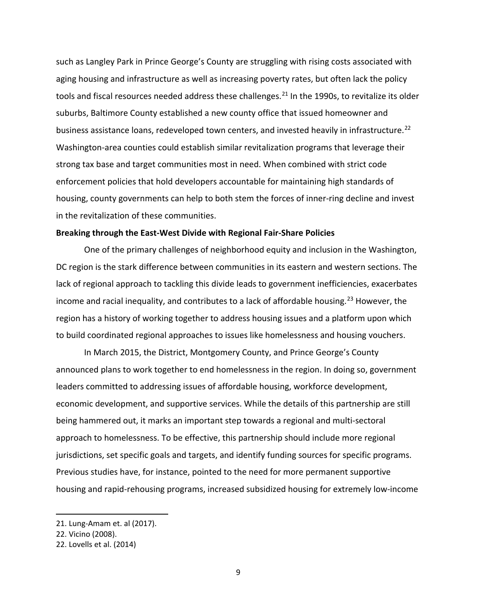such as Langley Park in Prince George's County are struggling with rising costs associated with aging housing and infrastructure as well as increasing poverty rates, but often lack the policy tools and fiscal resources needed address these challenges.<sup>[21](#page-10-0)</sup> In the 1990s, to revitalize its older suburbs, Baltimore County established a new county office that issued homeowner and business assistance loans, redeveloped town centers, and invested heavily in infrastructure.<sup>[22](#page-10-1)</sup> Washington-area counties could establish similar revitalization programs that leverage their strong tax base and target communities most in need. When combined with strict code enforcement policies that hold developers accountable for maintaining high standards of housing, county governments can help to both stem the forces of inner-ring decline and invest in the revitalization of these communities.

## **Breaking through the East-West Divide with Regional Fair-Share Policies**

One of the primary challenges of neighborhood equity and inclusion in the Washington, DC region is the stark difference between communities in its eastern and western sections. The lack of regional approach to tackling this divide leads to government inefficiencies, exacerbates income and racial inequality, and contributes to a lack of affordable housing.<sup>[23](#page-10-2)</sup> However, the region has a history of working together to address housing issues and a platform upon which to build coordinated regional approaches to issues like homelessness and housing vouchers.

In March 2015, the District, Montgomery County, and Prince George's County announced plans to work together to end homelessness in the region. In doing so, government leaders committed to addressing issues of affordable housing, workforce development, economic development, and supportive services. While the details of this partnership are still being hammered out, it marks an important step towards a regional and multi-sectoral approach to homelessness. To be effective, this partnership should include more regional jurisdictions, set specific goals and targets, and identify funding sources for specific programs. Previous studies have, for instance, pointed to the need for more permanent supportive housing and rapid-rehousing programs, increased subsidized housing for extremely low-income

 $\overline{a}$ 

<span id="page-10-0"></span><sup>21.</sup> Lung-Amam et. al (2017).

<span id="page-10-1"></span><sup>22.</sup> Vicino (2008).

<span id="page-10-2"></span><sup>22.</sup> Lovells et al. (2014)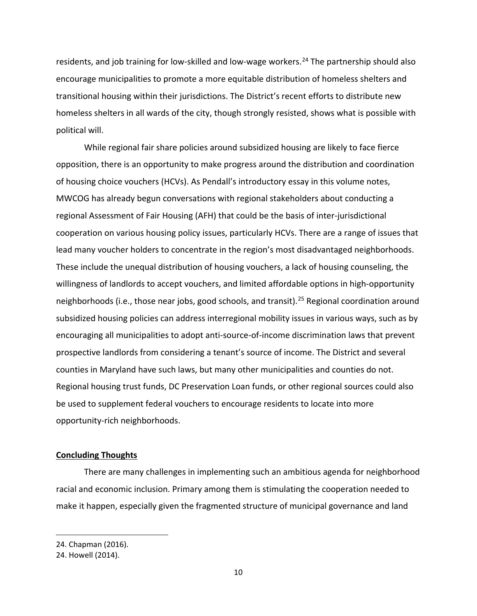residents, and job training for low-skilled and low-wage workers.<sup>[24](#page-11-0)</sup> The partnership should also encourage municipalities to promote a more equitable distribution of homeless shelters and transitional housing within their jurisdictions. The District's recent efforts to distribute new homeless shelters in all wards of the city, though strongly resisted, shows what is possible with political will.

While regional fair share policies around subsidized housing are likely to face fierce opposition, there is an opportunity to make progress around the distribution and coordination of housing choice vouchers (HCVs). As Pendall's introductory essay in this volume notes, MWCOG has already begun conversations with regional stakeholders about conducting a regional Assessment of Fair Housing (AFH) that could be the basis of inter-jurisdictional cooperation on various housing policy issues, particularly HCVs. There are a range of issues that lead many voucher holders to concentrate in the region's most disadvantaged neighborhoods. These include the unequal distribution of housing vouchers, a lack of housing counseling, the willingness of landlords to accept vouchers, and limited affordable options in high-opportunity neighborhoods (i.e., those near jobs, good schools, and transit). [25](#page-11-1) Regional coordination around subsidized housing policies can address interregional mobility issues in various ways, such as by encouraging all municipalities to adopt anti-source-of-income discrimination laws that prevent prospective landlords from considering a tenant's source of income. The District and several counties in Maryland have such laws, but many other municipalities and counties do not. Regional housing trust funds, DC Preservation Loan funds, or other regional sources could also be used to supplement federal vouchers to encourage residents to locate into more opportunity-rich neighborhoods.

### **Concluding Thoughts**

There are many challenges in implementing such an ambitious agenda for neighborhood racial and economic inclusion. Primary among them is stimulating the cooperation needed to make it happen, especially given the fragmented structure of municipal governance and land

 $\overline{\phantom{a}}$ 

<span id="page-11-0"></span><sup>24.</sup> Chapman (2016).

<span id="page-11-1"></span><sup>24.</sup> Howell (2014).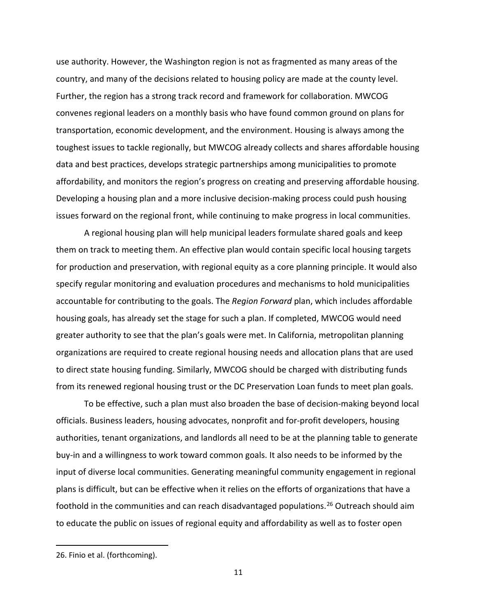use authority. However, the Washington region is not as fragmented as many areas of the country, and many of the decisions related to housing policy are made at the county level. Further, the region has a strong track record and framework for collaboration. MWCOG convenes regional leaders on a monthly basis who have found common ground on plans for transportation, economic development, and the environment. Housing is always among the toughest issues to tackle regionally, but MWCOG already collects and shares affordable housing data and best practices, develops strategic partnerships among municipalities to promote affordability, and monitors the region's progress on creating and preserving affordable housing. Developing a housing plan and a more inclusive decision-making process could push housing issues forward on the regional front, while continuing to make progress in local communities.

A regional housing plan will help municipal leaders formulate shared goals and keep them on track to meeting them. An effective plan would contain specific local housing targets for production and preservation, with regional equity as a core planning principle. It would also specify regular monitoring and evaluation procedures and mechanisms to hold municipalities accountable for contributing to the goals. The *Region Forward* plan, which includes affordable housing goals, has already set the stage for such a plan. If completed, MWCOG would need greater authority to see that the plan's goals were met. In California, metropolitan planning organizations are required to create regional housing needs and allocation plans that are used to direct state housing funding. Similarly, MWCOG should be charged with distributing funds from its renewed regional housing trust or the DC Preservation Loan funds to meet plan goals.

To be effective, such a plan must also broaden the base of decision-making beyond local officials. Business leaders, housing advocates, nonprofit and for-profit developers, housing authorities, tenant organizations, and landlords all need to be at the planning table to generate buy-in and a willingness to work toward common goals. It also needs to be informed by the input of diverse local communities. Generating meaningful community engagement in regional plans is difficult, but can be effective when it relies on the efforts of organizations that have a foothold in the communities and can reach disadvantaged populations.<sup>[26](#page-12-0)</sup> Outreach should aim to educate the public on issues of regional equity and affordability as well as to foster open

l

<span id="page-12-0"></span><sup>26.</sup> Finio et al. (forthcoming).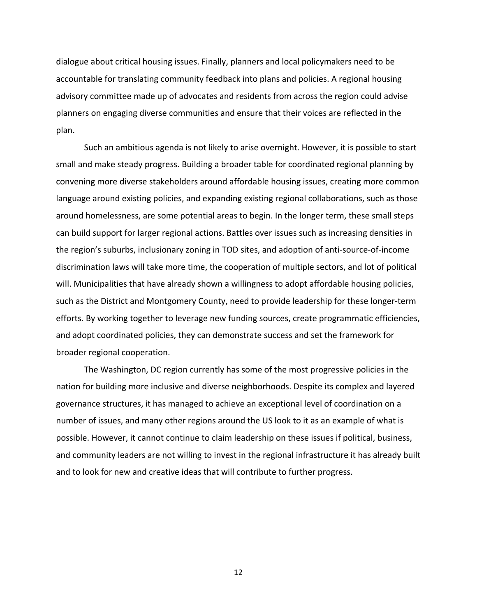dialogue about critical housing issues. Finally, planners and local policymakers need to be accountable for translating community feedback into plans and policies. A regional housing advisory committee made up of advocates and residents from across the region could advise planners on engaging diverse communities and ensure that their voices are reflected in the plan.

Such an ambitious agenda is not likely to arise overnight. However, it is possible to start small and make steady progress. Building a broader table for coordinated regional planning by convening more diverse stakeholders around affordable housing issues, creating more common language around existing policies, and expanding existing regional collaborations, such as those around homelessness, are some potential areas to begin. In the longer term, these small steps can build support for larger regional actions. Battles over issues such as increasing densities in the region's suburbs, inclusionary zoning in TOD sites, and adoption of anti-source-of-income discrimination laws will take more time, the cooperation of multiple sectors, and lot of political will. Municipalities that have already shown a willingness to adopt affordable housing policies, such as the District and Montgomery County, need to provide leadership for these longer-term efforts. By working together to leverage new funding sources, create programmatic efficiencies, and adopt coordinated policies, they can demonstrate success and set the framework for broader regional cooperation.

The Washington, DC region currently has some of the most progressive policies in the nation for building more inclusive and diverse neighborhoods. Despite its complex and layered governance structures, it has managed to achieve an exceptional level of coordination on a number of issues, and many other regions around the US look to it as an example of what is possible. However, it cannot continue to claim leadership on these issues if political, business, and community leaders are not willing to invest in the regional infrastructure it has already built and to look for new and creative ideas that will contribute to further progress.

12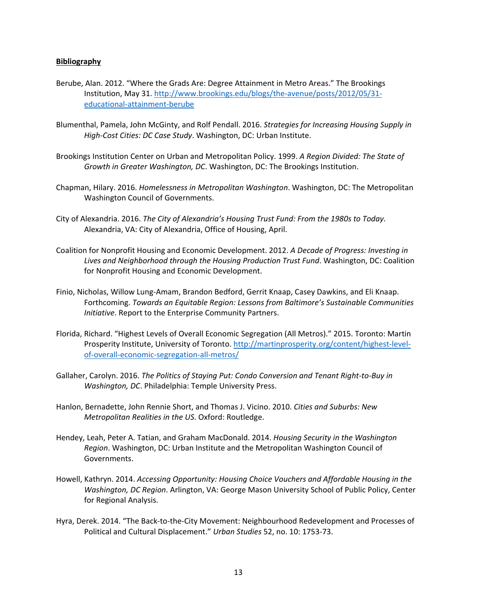#### **Bibliography**

- Berube, Alan. 2012. "Where the Grads Are: Degree Attainment in Metro Areas." The Brookings Institution, May 31. [http://www.brookings.edu/blogs/the-avenue/posts/2012/05/31](http://www.brookings.edu/blogs/the-avenue/posts/2012/05/31-educational-attainment-berube) [educational-attainment-berube](http://www.brookings.edu/blogs/the-avenue/posts/2012/05/31-educational-attainment-berube)
- Blumenthal, Pamela, John McGinty, and Rolf Pendall. 2016. *Strategies for Increasing Housing Supply in High-Cost Cities: DC Case Study*. Washington, DC: Urban Institute.
- Brookings Institution Center on Urban and Metropolitan Policy. 1999. *A Region Divided: The State of Growth in Greater Washington, DC*. Washington, DC: The Brookings Institution.
- Chapman, Hilary. 2016. *Homelessness in Metropolitan Washington*. Washington, DC: The Metropolitan Washington Council of Governments.
- City of Alexandria. 2016. *The City of Alexandria's Housing Trust Fund: From the 1980s to Today.*  Alexandria, VA: City of Alexandria, Office of Housing, April.
- Coalition for Nonprofit Housing and Economic Development. 2012. *A Decade of Progress: Investing in Lives and Neighborhood through the Housing Production Trust Fund*. Washington, DC: Coalition for Nonprofit Housing and Economic Development.
- Finio, Nicholas, Willow Lung-Amam, Brandon Bedford, Gerrit Knaap, Casey Dawkins, and Eli Knaap. Forthcoming. *Towards an Equitable Region: Lessons from Baltimore's Sustainable Communities Initiative*. Report to the Enterprise Community Partners.
- Florida, Richard. "Highest Levels of Overall Economic Segregation (All Metros)." 2015. Toronto: Martin Prosperity Institute, University of Toronto. [http://martinprosperity.org/content/highest-level](http://martinprosperity.org/content/highest-level-of-overall-economic-segregation-all-metros/)[of-overall-economic-segregation-all-metros/](http://martinprosperity.org/content/highest-level-of-overall-economic-segregation-all-metros/)
- Gallaher, Carolyn. 2016. *The Politics of Staying Put: Condo Conversion and Tenant Right-to-Buy in Washington, DC*. Philadelphia: Temple University Press.
- Hanlon, Bernadette, John Rennie Short, and Thomas J. Vicino. 2010. *Cities and Suburbs: New Metropolitan Realities in the US*. Oxford: Routledge.
- Hendey, Leah, Peter A. Tatian, and Graham MacDonald. 2014. *Housing Security in the Washington Region*. Washington, DC: Urban Institute and the Metropolitan Washington Council of Governments.
- Howell, Kathryn. 2014. *Accessing Opportunity: Housing Choice Vouchers and Affordable Housing in the Washington, DC Region*. Arlington, VA: George Mason University School of Public Policy, Center for Regional Analysis.
- Hyra, Derek. 2014. "The Back-to-the-City Movement: Neighbourhood Redevelopment and Processes of Political and Cultural Displacement." *Urban Studies* 52, no. 10: 1753-73.